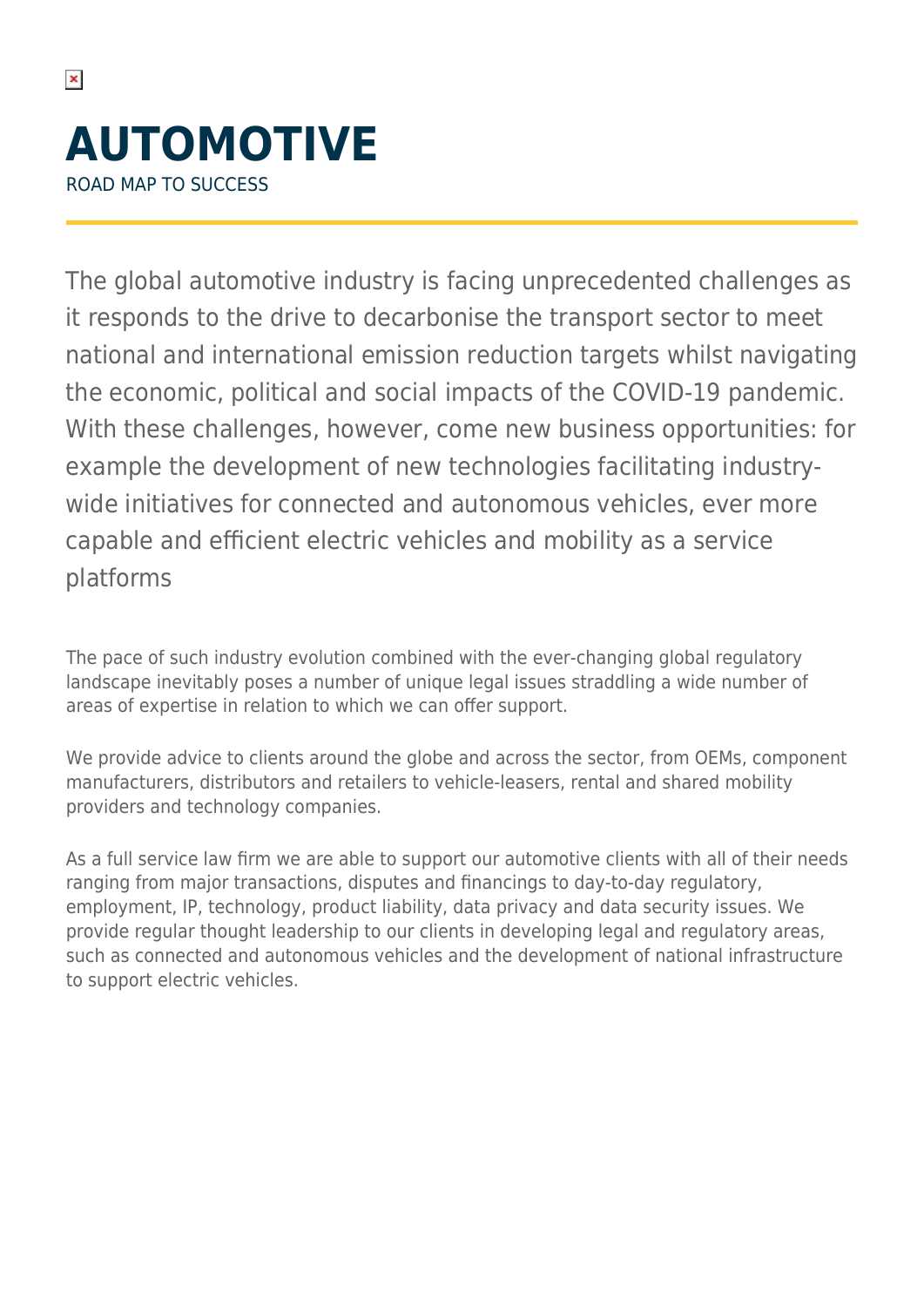## **AUTOMOTIVE** ROAD MAP TO SUCCESS

The global automotive industry is facing unprecedented challenges as it responds to the drive to decarbonise the transport sector to meet national and international emission reduction targets whilst navigating the economic, political and social impacts of the COVID-19 pandemic. With these challenges, however, come new business opportunities: for example the development of new technologies facilitating industrywide initiatives for connected and autonomous vehicles, ever more capable and efficient electric vehicles and mobility as a service platforms

The pace of such industry evolution combined with the ever-changing global regulatory landscape inevitably poses a number of unique legal issues straddling a wide number of areas of expertise in relation to which we can offer support.

We provide advice to clients around the globe and across the sector, from OEMs, component manufacturers, distributors and retailers to vehicle-leasers, rental and shared mobility providers and technology companies.

As a full service law firm we are able to support our automotive clients with all of their needs ranging from major transactions, disputes and financings to day-to-day regulatory, employment, IP, technology, product liability, data privacy and data security issues. We provide regular thought leadership to our clients in developing legal and regulatory areas, such as connected and autonomous vehicles and the development of national infrastructure to support electric vehicles.

 $\pmb{\times}$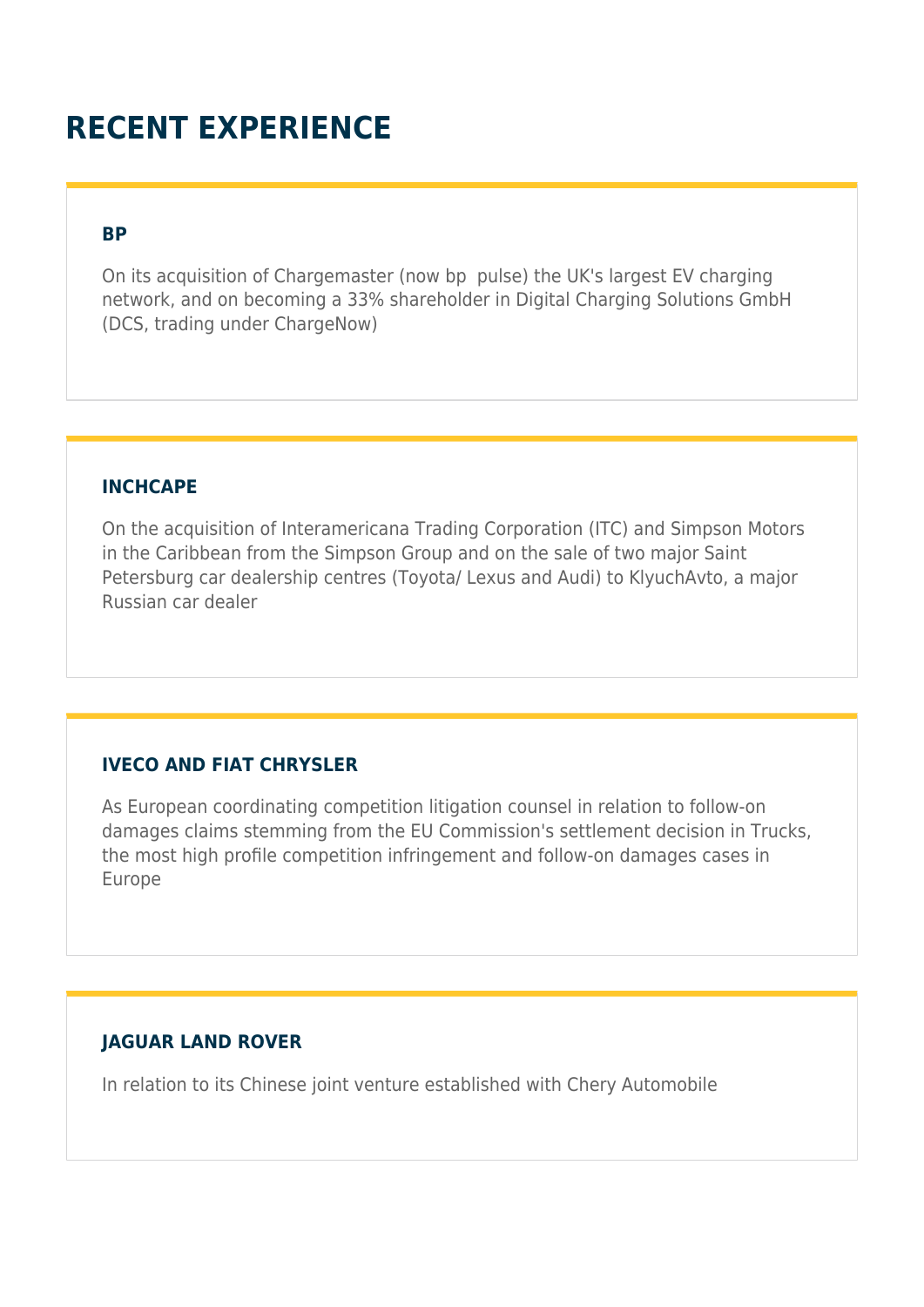### **RECENT EXPERIENCE**

#### **BP**

On its acquisition of Chargemaster (now bp pulse) the UK's largest EV charging network, and on becoming a 33% shareholder in Digital Charging Solutions GmbH (DCS, trading under ChargeNow)

#### **INCHCAPE**

On the acquisition of Interamericana Trading Corporation (ITC) and Simpson Motors in the Caribbean from the Simpson Group and on the sale of two major Saint Petersburg car dealership centres (Toyota/ Lexus and Audi) to KlyuchAvto, a major Russian car dealer

#### **IVECO AND FIAT CHRYSLER**

As European coordinating competition litigation counsel in relation to follow-on damages claims stemming from the EU Commission's settlement decision in Trucks, the most high profile competition infringement and follow-on damages cases in Europe

#### **JAGUAR LAND ROVER**

In relation to its Chinese joint venture established with Chery Automobile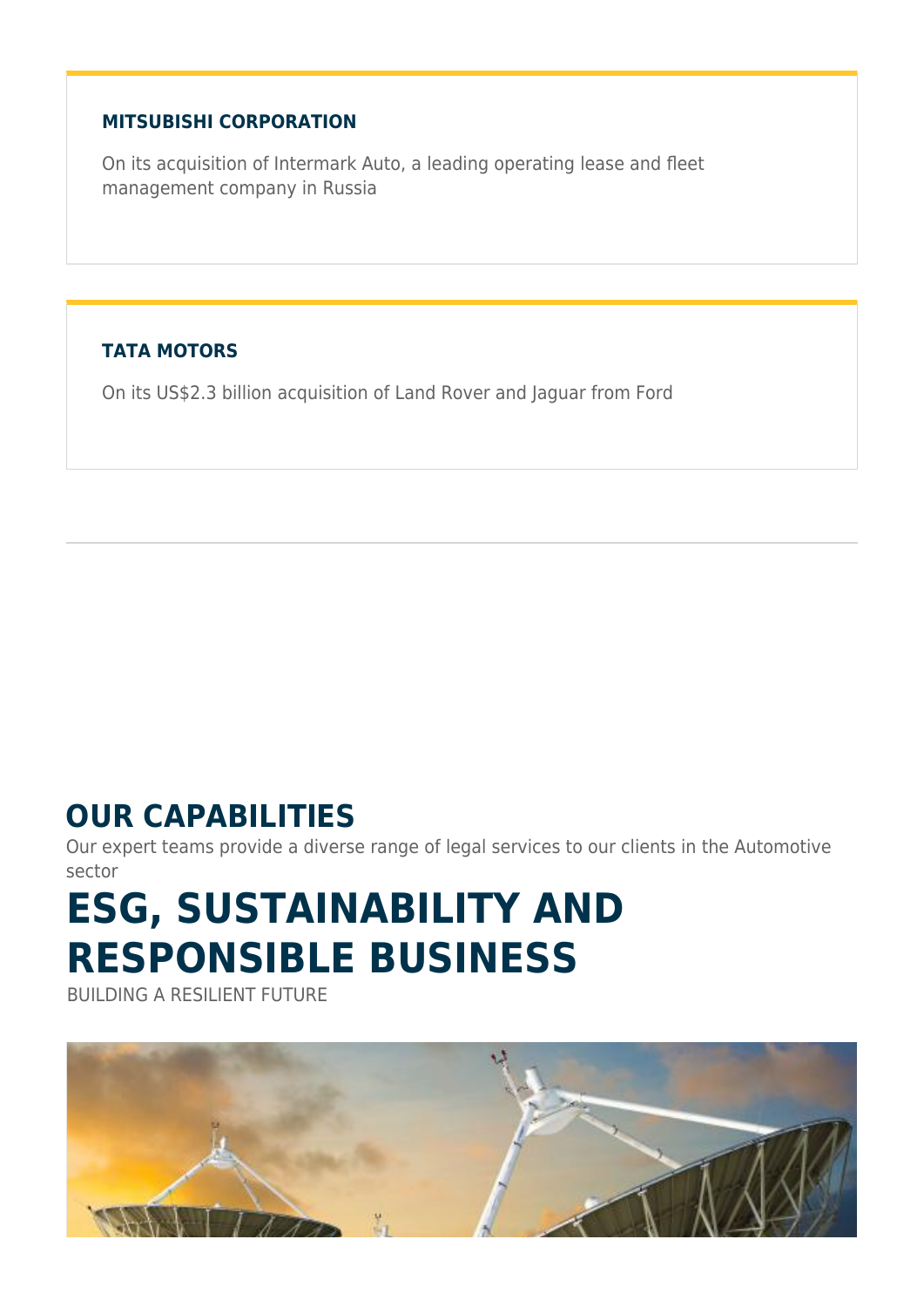#### **MITSUBISHI CORPORATION**

On its acquisition of Intermark Auto, a leading operating lease and fleet management company in Russia

#### **TATA MOTORS**

On its US\$2.3 billion acquisition of Land Rover and Jaguar from Ford

### **OUR CAPABILITIES**

Our expert teams provide a diverse range of legal services to our clients in the Automotive sector

# **ESG, SUSTAINABILITY AND RESPONSIBLE BUSINESS**

BUILDING A RESILIENT FUTURE

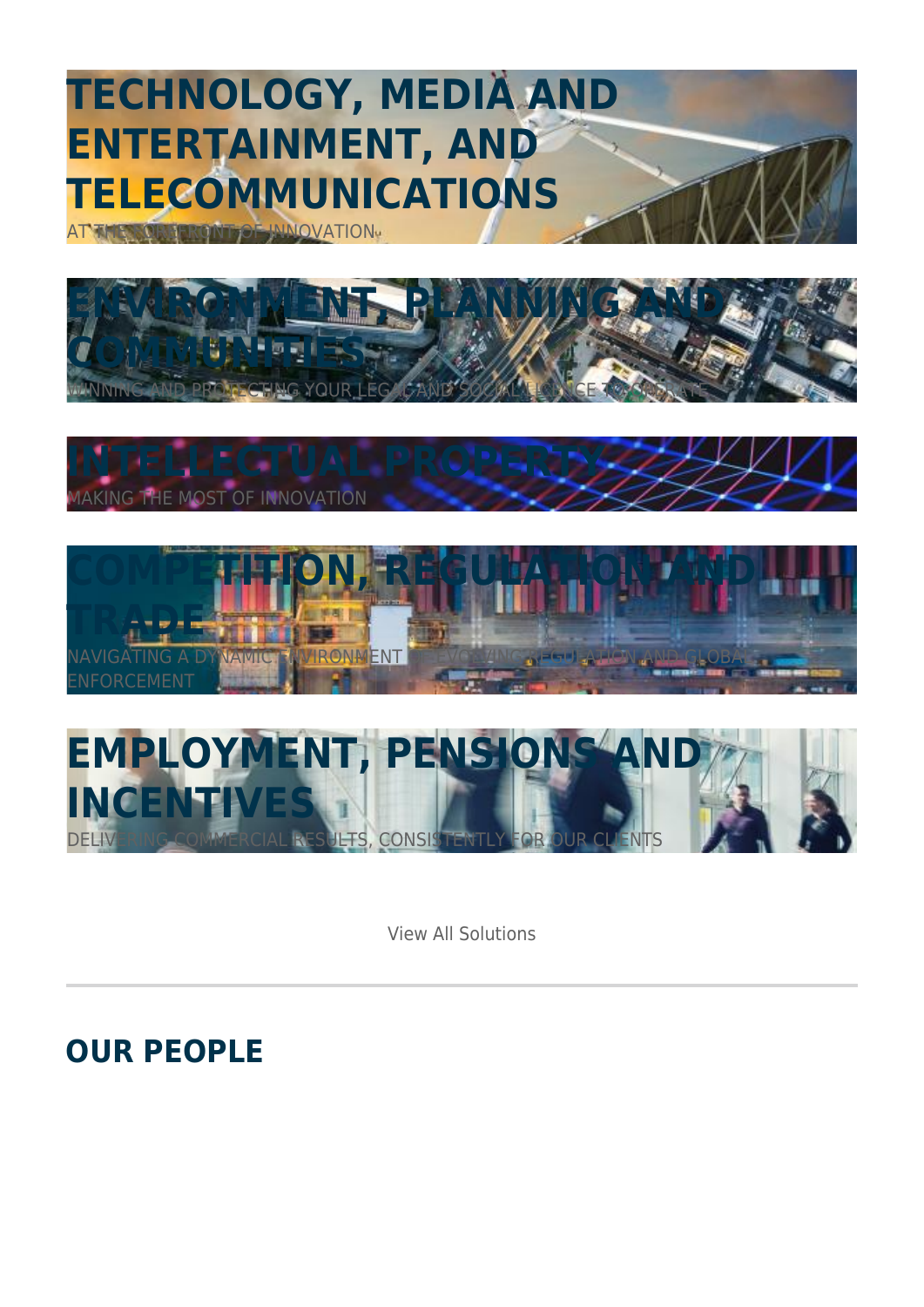## **TECHNOLOGY, MEDIA AND ENTERTAINMENT, AND TELECOMMUNICATIONS**

**AT THE FOREFALL OF INDICATION.** 









View All Solutions

**OUR PEOPLE**